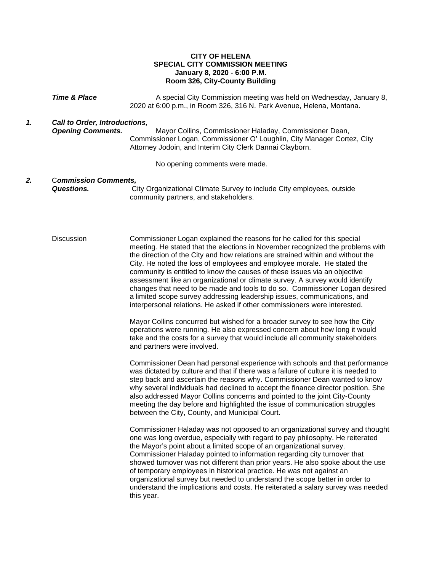## **CITY OF HELENA SPECIAL CITY COMMISSION MEETING January 8, 2020 - 6:00 P.M. Room 326, City-County Building**

**Time & Place** A special City Commission meeting was held on Wednesday, January 8, 2020 at 6:00 p.m., in Room 326, 316 N. Park Avenue, Helena, Montana. *1. Call to Order, Introductions, Opening Comments.* Mayor Collins, Commissioner Haladay, Commissioner Dean, Commissioner Logan, Commissioner O' Loughlin, City Manager Cortez, City Attorney Jodoin, and Interim City Clerk Dannai Clayborn. No opening comments were made. *2.* C*ommission Comments, Questions.* City Organizational Climate Survey to include City employees, outside community partners, and stakeholders. Discussion Commissioner Logan explained the reasons for he called for this special meeting. He stated that the elections in November recognized the problems with the direction of the City and how relations are strained within and without the City. He noted the loss of employees and employee morale. He stated the community is entitled to know the causes of these issues via an objective assessment like an organizational or climate survey. A survey would identify changes that need to be made and tools to do so. Commissioner Logan desired a limited scope survey addressing leadership issues, communications, and interpersonal relations. He asked if other commissioners were interested. Mayor Collins concurred but wished for a broader survey to see how the City operations were running. He also expressed concern about how long it would take and the costs for a survey that would include all community stakeholders and partners were involved. Commissioner Dean had personal experience with schools and that performance was dictated by culture and that if there was a failure of culture it is needed to step back and ascertain the reasons why. Commissioner Dean wanted to know why several individuals had declined to accept the finance director position. She also addressed Mayor Collins concerns and pointed to the joint City-County meeting the day before and highlighted the issue of communication struggles between the City, County, and Municipal Court. Commissioner Haladay was not opposed to an organizational survey and thought one was long overdue, especially with regard to pay philosophy. He reiterated the Mayor's point about a limited scope of an organizational survey. Commissioner Haladay pointed to information regarding city turnover that showed turnover was not different than prior years. He also spoke about the use of temporary employees in historical practice. He was not against an organizational survey but needed to understand the scope better in order to understand the implications and costs. He reiterated a salary survey was needed this year.